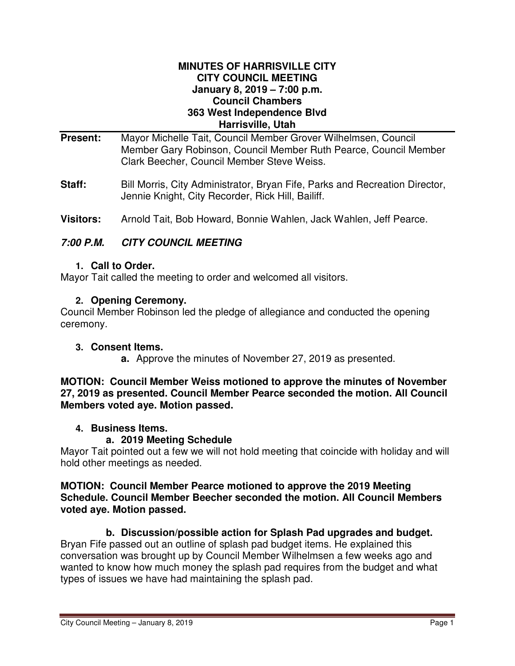# **MINUTES OF HARRISVILLE CITY CITY COUNCIL MEETING January 8, 2019 – 7:00 p.m. Council Chambers 363 West Independence Blvd Harrisville, Utah**

- **Present:** Mayor Michelle Tait, Council Member Grover Wilhelmsen, Council Member Gary Robinson, Council Member Ruth Pearce, Council Member Clark Beecher, Council Member Steve Weiss.
- **Staff:** Bill Morris, City Administrator, Bryan Fife, Parks and Recreation Director, Jennie Knight, City Recorder, Rick Hill, Bailiff.
- **Visitors:** Arnold Tait, Bob Howard, Bonnie Wahlen, Jack Wahlen, Jeff Pearce.

# **7:00 P.M. CITY COUNCIL MEETING**

#### **1. Call to Order.**

Mayor Tait called the meeting to order and welcomed all visitors.

# **2. Opening Ceremony.**

Council Member Robinson led the pledge of allegiance and conducted the opening ceremony.

# **3. Consent Items.**

**a.** Approve the minutes of November 27, 2019 as presented.

#### **MOTION: Council Member Weiss motioned to approve the minutes of November 27, 2019 as presented. Council Member Pearce seconded the motion. All Council Members voted aye. Motion passed.**

# **4. Business Items.**

# **a. 2019 Meeting Schedule**

Mayor Tait pointed out a few we will not hold meeting that coincide with holiday and will hold other meetings as needed.

#### **MOTION: Council Member Pearce motioned to approve the 2019 Meeting Schedule. Council Member Beecher seconded the motion. All Council Members voted aye. Motion passed.**

# **b. Discussion/possible action for Splash Pad upgrades and budget.**

Bryan Fife passed out an outline of splash pad budget items. He explained this conversation was brought up by Council Member Wilhelmsen a few weeks ago and wanted to know how much money the splash pad requires from the budget and what types of issues we have had maintaining the splash pad.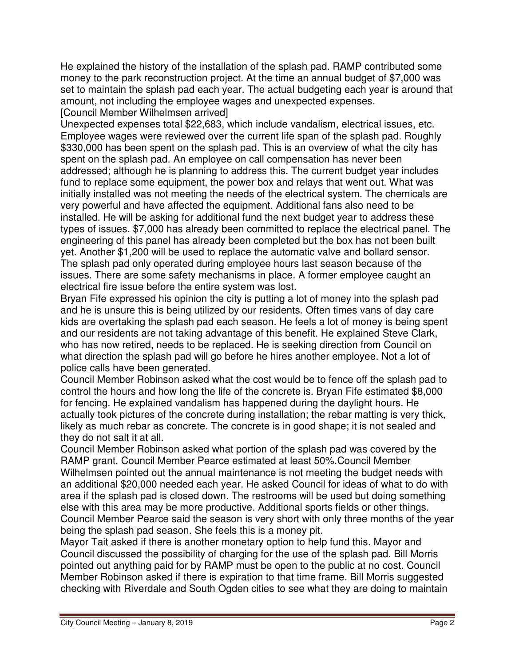He explained the history of the installation of the splash pad. RAMP contributed some money to the park reconstruction project. At the time an annual budget of \$7,000 was set to maintain the splash pad each year. The actual budgeting each year is around that amount, not including the employee wages and unexpected expenses. [Council Member Wilhelmsen arrived]

Unexpected expenses total \$22,683, which include vandalism, electrical issues, etc. Employee wages were reviewed over the current life span of the splash pad. Roughly \$330,000 has been spent on the splash pad. This is an overview of what the city has spent on the splash pad. An employee on call compensation has never been addressed; although he is planning to address this. The current budget year includes fund to replace some equipment, the power box and relays that went out. What was initially installed was not meeting the needs of the electrical system. The chemicals are very powerful and have affected the equipment. Additional fans also need to be installed. He will be asking for additional fund the next budget year to address these types of issues. \$7,000 has already been committed to replace the electrical panel. The engineering of this panel has already been completed but the box has not been built yet. Another \$1,200 will be used to replace the automatic valve and bollard sensor. The splash pad only operated during employee hours last season because of the issues. There are some safety mechanisms in place. A former employee caught an electrical fire issue before the entire system was lost.

Bryan Fife expressed his opinion the city is putting a lot of money into the splash pad and he is unsure this is being utilized by our residents. Often times vans of day care kids are overtaking the splash pad each season. He feels a lot of money is being spent and our residents are not taking advantage of this benefit. He explained Steve Clark, who has now retired, needs to be replaced. He is seeking direction from Council on what direction the splash pad will go before he hires another employee. Not a lot of police calls have been generated.

Council Member Robinson asked what the cost would be to fence off the splash pad to control the hours and how long the life of the concrete is. Bryan Fife estimated \$8,000 for fencing. He explained vandalism has happened during the daylight hours. He actually took pictures of the concrete during installation; the rebar matting is very thick, likely as much rebar as concrete. The concrete is in good shape; it is not sealed and they do not salt it at all.

Council Member Robinson asked what portion of the splash pad was covered by the RAMP grant. Council Member Pearce estimated at least 50%.Council Member Wilhelmsen pointed out the annual maintenance is not meeting the budget needs with an additional \$20,000 needed each year. He asked Council for ideas of what to do with area if the splash pad is closed down. The restrooms will be used but doing something else with this area may be more productive. Additional sports fields or other things. Council Member Pearce said the season is very short with only three months of the year being the splash pad season. She feels this is a money pit.

Mayor Tait asked if there is another monetary option to help fund this. Mayor and Council discussed the possibility of charging for the use of the splash pad. Bill Morris pointed out anything paid for by RAMP must be open to the public at no cost. Council Member Robinson asked if there is expiration to that time frame. Bill Morris suggested checking with Riverdale and South Ogden cities to see what they are doing to maintain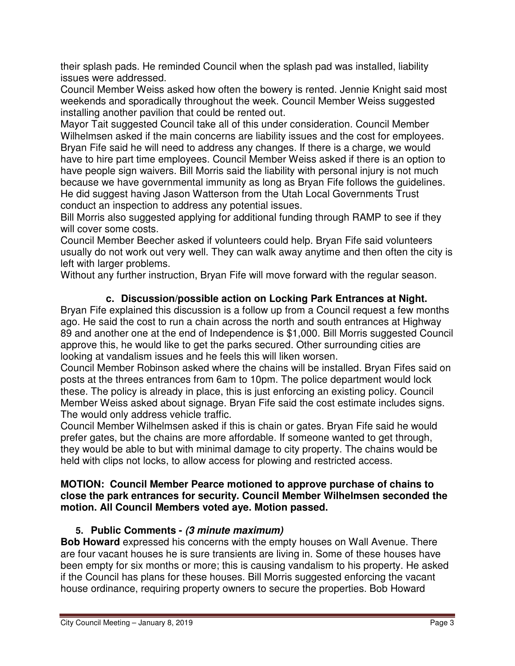their splash pads. He reminded Council when the splash pad was installed, liability issues were addressed.

Council Member Weiss asked how often the bowery is rented. Jennie Knight said most weekends and sporadically throughout the week. Council Member Weiss suggested installing another pavilion that could be rented out.

Mayor Tait suggested Council take all of this under consideration. Council Member Wilhelmsen asked if the main concerns are liability issues and the cost for employees. Bryan Fife said he will need to address any changes. If there is a charge, we would have to hire part time employees. Council Member Weiss asked if there is an option to have people sign waivers. Bill Morris said the liability with personal injury is not much because we have governmental immunity as long as Bryan Fife follows the guidelines. He did suggest having Jason Watterson from the Utah Local Governments Trust conduct an inspection to address any potential issues.

Bill Morris also suggested applying for additional funding through RAMP to see if they will cover some costs.

Council Member Beecher asked if volunteers could help. Bryan Fife said volunteers usually do not work out very well. They can walk away anytime and then often the city is left with larger problems.

Without any further instruction, Bryan Fife will move forward with the regular season.

# **c. Discussion/possible action on Locking Park Entrances at Night.**

Bryan Fife explained this discussion is a follow up from a Council request a few months ago. He said the cost to run a chain across the north and south entrances at Highway 89 and another one at the end of Independence is \$1,000. Bill Morris suggested Council approve this, he would like to get the parks secured. Other surrounding cities are looking at vandalism issues and he feels this will liken worsen.

Council Member Robinson asked where the chains will be installed. Bryan Fifes said on posts at the threes entrances from 6am to 10pm. The police department would lock these. The policy is already in place, this is just enforcing an existing policy. Council Member Weiss asked about signage. Bryan Fife said the cost estimate includes signs. The would only address vehicle traffic.

Council Member Wilhelmsen asked if this is chain or gates. Bryan Fife said he would prefer gates, but the chains are more affordable. If someone wanted to get through, they would be able to but with minimal damage to city property. The chains would be held with clips not locks, to allow access for plowing and restricted access.

# **MOTION: Council Member Pearce motioned to approve purchase of chains to close the park entrances for security. Council Member Wilhelmsen seconded the motion. All Council Members voted aye. Motion passed.**

# **5. Public Comments - (3 minute maximum)**

**Bob Howard** expressed his concerns with the empty houses on Wall Avenue. There are four vacant houses he is sure transients are living in. Some of these houses have been empty for six months or more; this is causing vandalism to his property. He asked if the Council has plans for these houses. Bill Morris suggested enforcing the vacant house ordinance, requiring property owners to secure the properties. Bob Howard